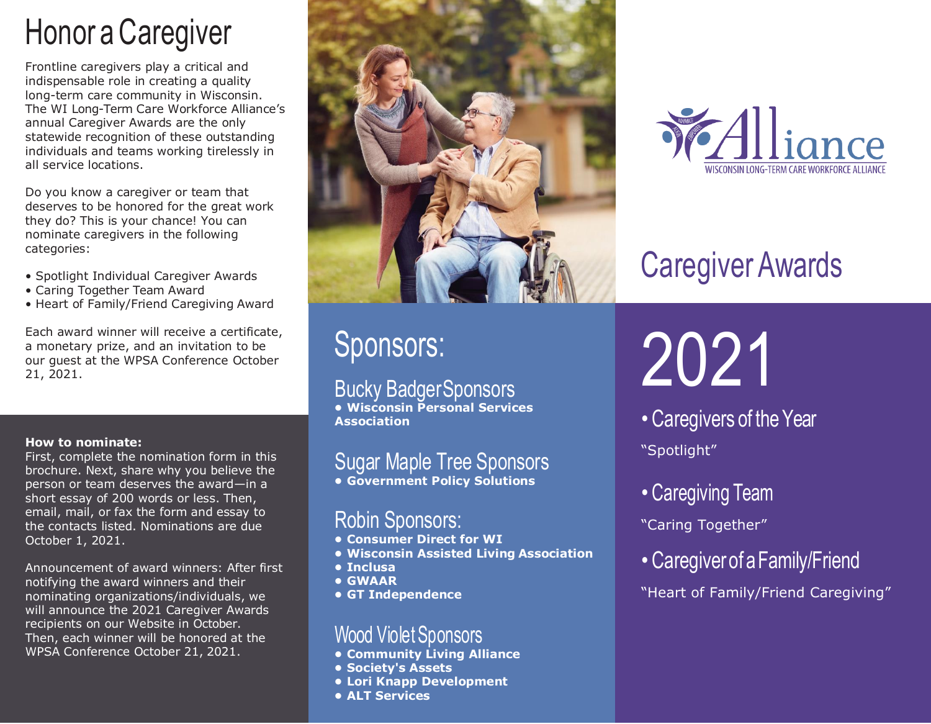## Honor a Caregiver

Frontline caregivers play a critical and indispensable role in creating a quality long-term care community in Wisconsin. The WI Long-Term Care Workforce Alliance's annual Caregiver Awards are the only statewide recognition of these outstanding individuals and teams working tirelessly in all service locations.

Do you know a caregiver or team that deserves to be honored for the great work they do? This is your chance! You can nominate caregivers in the following categories:

- Spotlight Individual Caregiver Awards
- Caring Together Team Award
- Heart of Family/Friend Caregiving Award

Each award winner will receive a certificate, a monetary prize, and an invitation to be our guest at the WPSA Conference October 21, 2021.

#### **How to nominate:**

First, complete the nomination form in this brochure. Next, share why you believe the person or team deserves the award—in a short essay of 200 words or less. Then, email, mail, or fax the form and essay to the contacts listed. Nominations are due October 1, 2021.

Announcement of award winners: After first notifying the award winners and their nominating organizations/individuals, we will announce the 2021 Caregiver Awards recipients on our Website in October. Then, each winner will be honored at the WPSA Conference October 21, 2021.



### Sponsors:

Bucky BadgerSponsors **• Wisconsin Personal Services Association**

### Sugar Maple Tree Sponsors **• Government Policy Solutions**

### Robin Sponsors:

- **• Consumer Direct for WI**
- **• Wisconsin Assisted Living Association**
- **• Inclusa**
- **• GWAAR**
- **• GT Independence**

### Wood Violet Sponsors

- **• Community Living Alliance**
- **• Society's Assets**
- **• Lori Knapp Development**
- **• ALT Services**



# Caregiver Awards

# 2021

- Caregivers of the Year "Spotlight"
- Caregiving Team
- "Caring Together"
- Caregiver of aFamily/Friend
- "Heart of Family/Friend Caregiving"